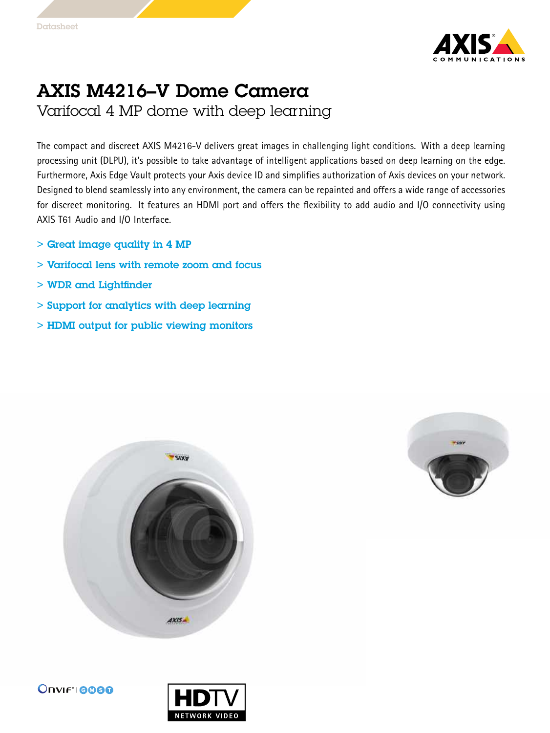

## AXIS M4216–V Dome Camera

Varifocal 4 MP dome with deep learning

The compact and discreet AXIS M4216-V delivers great images in challenging light conditions. With <sup>a</sup> deep learning processing unit (DLPU), it's possible to take advantage of intelligent applications based on deep learning on the edge. Furthermore, Axis Edge Vault protects your Axis device ID and simplifies authorization of Axis devices on your network. Designed to blend seamlessly into any environment, the camera can be repainted and offers <sup>a</sup> wide range of accessories for discreet monitoring. It features an HDMI port and offers the flexibility to add audio and I/O connectivity using AXIS T61 Audio and I/O Interface.

- $>$  Great image quality in 4 MP
- > Varifocal lens with remote zoom and focus
- > WDR and Lightfinder
- > Support for analytics with deep learning
- > HDMI output for public viewing monitors







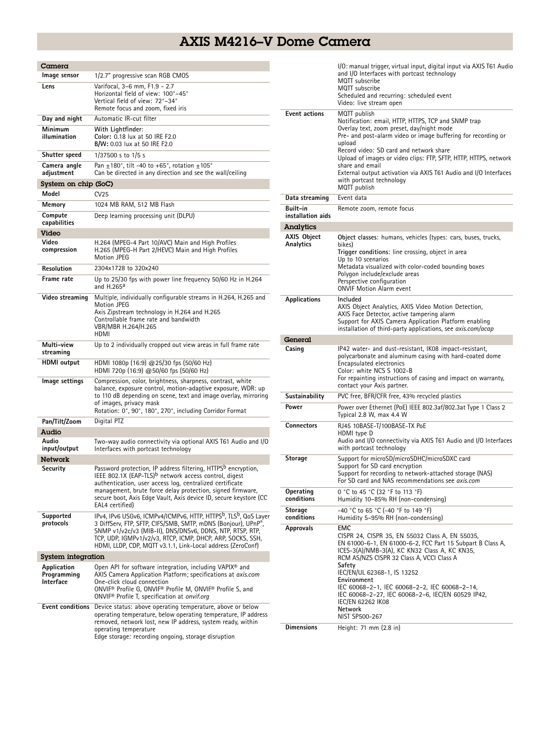## AXIS M4216–V Dome Camera

Ĺ.

| Camera                                  |                                                                                                                                                                                                                                                                                                                                                                  |  |  |  |
|-----------------------------------------|------------------------------------------------------------------------------------------------------------------------------------------------------------------------------------------------------------------------------------------------------------------------------------------------------------------------------------------------------------------|--|--|--|
| lmage sensor                            | 1/2.7" progressive scan RGB CMOS                                                                                                                                                                                                                                                                                                                                 |  |  |  |
| Lens                                    | Varifocal, 3-6 mm, F1.9 - 2.7<br>Horizontal field of view: 100°-45°<br>Vertical field of view: 72°-34°<br>Remote focus and zoom, fixed iris                                                                                                                                                                                                                      |  |  |  |
| Day and night                           | Automatic IR-cut filter                                                                                                                                                                                                                                                                                                                                          |  |  |  |
| Minimum<br>illumination                 | With Lightfinder:<br>Color: 0.18 lux at 50 IRE F2.0<br><b>B/W:</b> 0.03 lux at 50 IRE F2.0                                                                                                                                                                                                                                                                       |  |  |  |
| Shutter speed                           | 1/37500 s to 1/5 s                                                                                                                                                                                                                                                                                                                                               |  |  |  |
| Camera angle<br>adjustment              | Pan $\pm$ 180°, tilt -40 to +65°, rotation $\pm$ 105°<br>Can be directed in any direction and see the wall/ceiling                                                                                                                                                                                                                                               |  |  |  |
| System on chip (SoC)                    |                                                                                                                                                                                                                                                                                                                                                                  |  |  |  |
| Model                                   | CV25                                                                                                                                                                                                                                                                                                                                                             |  |  |  |
| Memory                                  | 1024 MB RAM, 512 MB Flash                                                                                                                                                                                                                                                                                                                                        |  |  |  |
| Compute<br>capabilities                 | Deep learning processing unit (DLPU)                                                                                                                                                                                                                                                                                                                             |  |  |  |
| Video                                   |                                                                                                                                                                                                                                                                                                                                                                  |  |  |  |
| Video<br>compression                    | H.264 (MPEG-4 Part 10/AVC) Main and High Profiles<br>H.265 (MPEG-H Part 2/HEVC) Main and High Profiles<br><b>Motion JPEG</b>                                                                                                                                                                                                                                     |  |  |  |
| Resolution                              | 2304x1728 to 320x240                                                                                                                                                                                                                                                                                                                                             |  |  |  |
| Frame rate                              | Up to 25/30 fps with power line frequency 50/60 Hz in H.264<br>and $H.265a$                                                                                                                                                                                                                                                                                      |  |  |  |
| Video streaming                         | Multiple, individually configurable streams in H.264, H.265 and<br><b>Motion JPEG</b><br>Axis Zipstream technology in H.264 and H.265<br>Controllable frame rate and bandwidth<br>VBR/MBR H.264/H.265<br>HDMI                                                                                                                                                    |  |  |  |
| Multi-view<br>streaming                 | Up to 2 individually cropped out view areas in full frame rate                                                                                                                                                                                                                                                                                                   |  |  |  |
| HDMI output                             | HDMI 1080p (16:9) @25/30 fps (50/60 Hz)<br>HDMI 720p (16:9) @50/60 fps (50/60 Hz)                                                                                                                                                                                                                                                                                |  |  |  |
| lmage settings                          | Compression, color, brightness, sharpness, contrast, white<br>balance, exposure control, motion-adaptive exposure, WDR: up<br>to 110 dB depending on scene, text and image overlay, mirroring<br>of images, privacy mask<br>Rotation: 0°, 90°, 180°, 270°, including Corridor Format                                                                             |  |  |  |
| Pan/Tilt/Zoom                           | Digital PTZ                                                                                                                                                                                                                                                                                                                                                      |  |  |  |
| Audio                                   |                                                                                                                                                                                                                                                                                                                                                                  |  |  |  |
| Audio<br>input/output                   | Two-way audio connectivity via optional AXIS T61 Audio and I/O<br>Interfaces with portcast technology                                                                                                                                                                                                                                                            |  |  |  |
| Network                                 |                                                                                                                                                                                                                                                                                                                                                                  |  |  |  |
| Security                                | Password protection, IP address filtering, HTTPS <sup>b</sup> encryption,<br>IEEE 802.1X (EAP-TLS) <sup>b</sup> network access control, digest<br>authentication, user access log, centralized certificate<br>management, brute force delay protection, signed firmware,<br>secure boot, Axis Edge Vault, Axis device ID, secure keystore (CC<br>EAL4 certified) |  |  |  |
| Supported<br>protocols                  | IPv4, IPv6 USGv6, ICMPv4/ICMPv6, HTTP, HTTPS <sup>b</sup> , TLS <sup>b</sup> , QoS Layer<br>3 DiffServ, FTP, SFTP, CIFS/SMB, SMTP, mDNS (Bonjour), UPnP®<br>SNMP v1/v2c/v3 (MIB-II), DNS/DNSv6, DDNS, NTP, RTSP, RTP,<br>TCP, UDP, IGMPv1/v2/v3, RTCP, ICMP, DHCP, ARP, SOCKS, SSH,<br>HDMI, LLDP, CDP, MQTT v3.1.1, Link-Local address (ZeroConf)               |  |  |  |
| System integration                      |                                                                                                                                                                                                                                                                                                                                                                  |  |  |  |
| Application<br>Programming<br>Interface | Open API for software integration, including VAPIX <sup>®</sup> and<br>AXIS Camera Application Platform; specifications at axis.com<br>One-click cloud connection<br>ONVIF <sup>®</sup> Profile G, ONVIF® Profile M, ONVIF® Profile S, and<br>ONVIF <sup>®</sup> Profile T, specification at onvif.org                                                           |  |  |  |
| <b>Event conditions</b>                 | Device status: above operating temperature, above or below<br>operating temperature, below operating temperature, IP address<br>removed, network lost, new IP address, system ready, within<br>operating temperature<br>Edge storage: recording ongoing, storage disruption                                                                                      |  |  |  |

|                               | I/O: manual trigger, virtual input, digital input via AXIS T61 Audio<br>and I/O Interfaces with portcast technology<br>MQTT subscribe<br>MQTT subscribe<br>Scheduled and recurring: scheduled event<br>Video: live stream open                                                                                                                                                                                                                |  |  |
|-------------------------------|-----------------------------------------------------------------------------------------------------------------------------------------------------------------------------------------------------------------------------------------------------------------------------------------------------------------------------------------------------------------------------------------------------------------------------------------------|--|--|
| <b>Event actions</b>          | MQTT publish<br>Notification: email, HTTP, HTTPS, TCP and SNMP trap<br>Overlay text, zoom preset, day/night mode<br>Pre- and post-alarm video or image buffering for recording or<br>upload<br>Record video: SD card and network share<br>Upload of images or video clips: FTP, SFTP, HTTP, HTTPS, network<br>share and email<br>External output activation via AXIS T61 Audio and I/O Interfaces<br>with portcast technology<br>MQTT publish |  |  |
| Data streaming                | Event data                                                                                                                                                                                                                                                                                                                                                                                                                                    |  |  |
| Built-in<br>installation aids | Remote zoom, remote focus                                                                                                                                                                                                                                                                                                                                                                                                                     |  |  |
| Analytics                     |                                                                                                                                                                                                                                                                                                                                                                                                                                               |  |  |
| AXIS Object<br>Analytics      | Object classes: humans, vehicles (types: cars, buses, trucks,<br>bikes)<br>Trigger conditions: line crossing, object in area<br>Up to 10 scenarios<br>Metadata visualized with color-coded bounding boxes<br>Polygon include/exclude areas<br>Perspective configuration<br><b>ONVIF Motion Alarm event</b>                                                                                                                                    |  |  |
| <b>Applications</b>           | Included<br>AXIS Object Analytics, AXIS Video Motion Detection,<br>AXIS Face Detector, active tampering alarm<br>Support for AXIS Camera Application Platform enabling<br>installation of third-party applications, see axis.com/acap                                                                                                                                                                                                         |  |  |
| General                       |                                                                                                                                                                                                                                                                                                                                                                                                                                               |  |  |
| Casing                        | IP42 water- and dust-resistant, IK08 impact-resistant,<br>polycarbonate and aluminum casing with hard-coated dome<br>Encapsulated electronics<br>Color: white NCS S 1002-B<br>For repainting instructions of casing and impact on warranty,<br>contact your Axis partner.                                                                                                                                                                     |  |  |
| Sustainability                | PVC free, BFR/CFR free, 43% recycled plastics                                                                                                                                                                                                                                                                                                                                                                                                 |  |  |
| Power                         | Power over Ethernet (PoE) IEEE 802.3af/802.3at Type 1 Class 2<br>Typical 2.8 W, max 4.4 W                                                                                                                                                                                                                                                                                                                                                     |  |  |
| <b>Connectors</b>             | RJ45 10BASE-T/100BASE-TX PoE<br>HDMI type D<br>Audio and I/O connectivity via AXIS T61 Audio and I/O Interfaces<br>with portcast technology                                                                                                                                                                                                                                                                                                   |  |  |
| <b>Storage</b>                | Support for microSD/microSDHC/microSDXC card<br>Support for SD card encryption<br>Support for recording to network-attached storage (NAS)<br>For SD card and NAS recommendations see axis.com                                                                                                                                                                                                                                                 |  |  |
| Operating<br>conditions       | 0 °C to 45 °C (32 °F to 113 °F)<br>Humidity 10-85% RH (non-condensing)                                                                                                                                                                                                                                                                                                                                                                        |  |  |
| <b>Storage</b><br>conditions  | -40 °C to 65 °C (-40 °F to 149 °F)<br>Humidity 5-95% RH (non-condensing)                                                                                                                                                                                                                                                                                                                                                                      |  |  |
| <b>Approvals</b>              | EMC<br>CISPR 24, CISPR 35, EN 55032 Class A, EN 55035,<br>EN 61000-6-1, EN 61000-6-2, FCC Part 15 Subpart B Class A,<br>ICES-3(A)/NMB-3(A), KC KN32 Class A, KC KN35,<br>RCM AS/NZS CISPR 32 Class A. VCCI Class A<br>Safety<br>IEC/EN/UL 62368-1, IS 13252<br>Environment<br>IEC 60068-2-1, IEC 60068-2-2, IEC 60068-2-14,<br>IEC 60068-2-27, IEC 60068-2-6, IEC/EN 60529 IP42,<br>IEC/EN 62262 IK08<br>Network<br>NIST SP500-267            |  |  |
| <b>Dimensions</b>             | Height: 71 mm (2.8 in)                                                                                                                                                                                                                                                                                                                                                                                                                        |  |  |